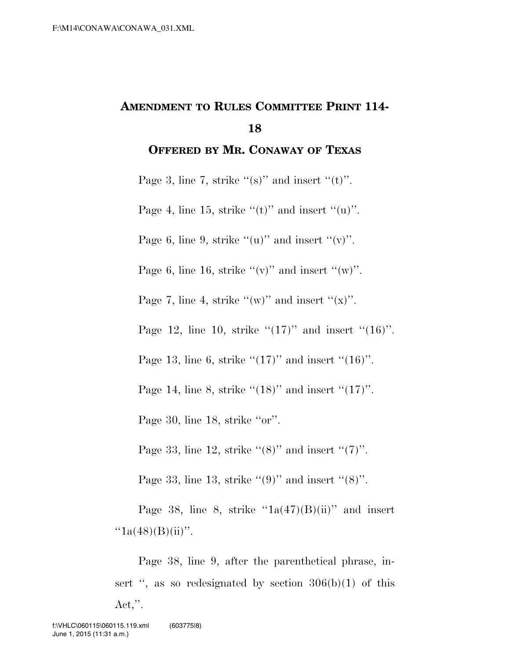## **AMENDMENT TO RULES COMMITTEE PRINT 114- 18**

**OFFERED BY MR. CONAWAY OF TEXAS**

Page 3, line 7, strike " $(s)$ " and insert " $(t)$ ".

Page 4, line 15, strike " $(t)$ " and insert " $(u)$ ".

Page 6, line 9, strike  $((u)$ " and insert  $((v)$ ".

Page 6, line 16, strike " $(v)$ " and insert " $(w)$ ".

Page 7, line 4, strike " $(w)$ " and insert " $(x)$ ".

Page 12, line 10, strike  $\lq(17)$ " and insert "(16)".

Page 13, line 6, strike  $\cdot(17)$ " and insert  $\cdot(16)$ ".

Page 14, line 8, strike  $\cdot(18)$ " and insert  $\cdot(17)$ ".

Page 30, line 18, strike "or".

Page 33, line 12, strike " $(8)$ " and insert " $(7)$ ".

Page 33, line 13, strike  $\cdot\cdot(9)$ " and insert  $\cdot\cdot(8)$ ".

Page 38, line 8, strike  $i1a(47)(B)(ii)$  and insert  $"1a(48)(B)(ii)"$ .

Page 38, line 9, after the parenthetical phrase, insert ", as so redesignated by section  $306(b)(1)$  of this  $\text{Act},\text{''}.$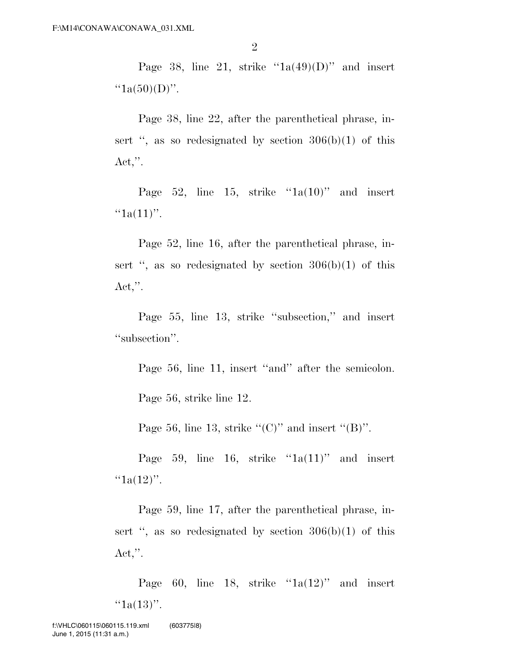Page 38, line 21, strike  $i_{1a}(49)(D)$ " and insert  $"1a(50)(D)"$ .

Page 38, line 22, after the parenthetical phrase, insert ", as so redesignated by section  $306(b)(1)$  of this  $\text{Act},\text{''}.$ 

Page 52, line 15, strike " $1a(10)$ " and insert  $"1a(11)"$ .

Page 52, line 16, after the parenthetical phrase, insert ", as so redesignated by section  $306(b)(1)$  of this  $\text{Act},\text{''}.$ 

Page 55, line 13, strike "subsection," and insert "subsection".

Page 56, line 11, insert "and" after the semicolon.

Page 56, strike line 12.

Page 56, line 13, strike " $(C)$ " and insert " $(B)$ ".

Page 59, line 16, strike " $1a(11)$ " and insert " $1a(12)$ ".

Page 59, line 17, after the parenthetical phrase, insert ", as so redesignated by section  $306(b)(1)$  of this  $Act,$ ".

Page 60, line 18, strike " $1a(12)$ " and insert  $"1a(13)"$ .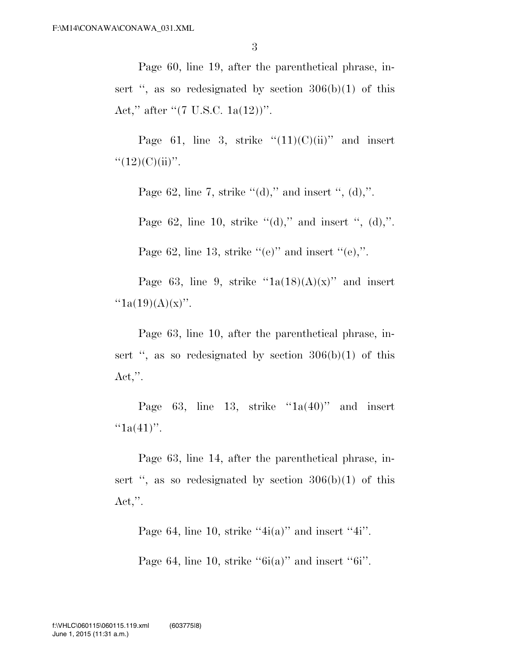Page 60, line 19, after the parenthetical phrase, insert ", as so redesignated by section  $306(b)(1)$  of this Act," after "(7 U.S.C. 1a(12))".

Page 61, line 3, strike  $(11)(C)(ii)$ " and insert  $``(12)(C)(ii)''$ .

Page 62, line 7, strike  $\lq (d)$ ," and insert ", (d),".

Page 62, line 10, strike  $\lq (d)$ ," and insert ", (d),".

Page 62, line 13, strike  $((e)$ " and insert  $((e))$ ".

Page 63, line 9, strike  $i_{1a}(18)(A)(x)$ " and insert " $1a(19)(A)(x)$ ".

Page 63, line 10, after the parenthetical phrase, insert ", as so redesignated by section  $306(b)(1)$  of this Act,''.

Page 63, line 13, strike  $i$ 1a(40)" and insert  $``1a(41)''$ .

Page 63, line 14, after the parenthetical phrase, insert ", as so redesignated by section  $306(b)(1)$  of this  $Act,$ ".

Page 64, line 10, strike " $4i(a)$ " and insert " $4i$ ".

Page 64, line 10, strike " $6i(a)$ " and insert " $6i$ ".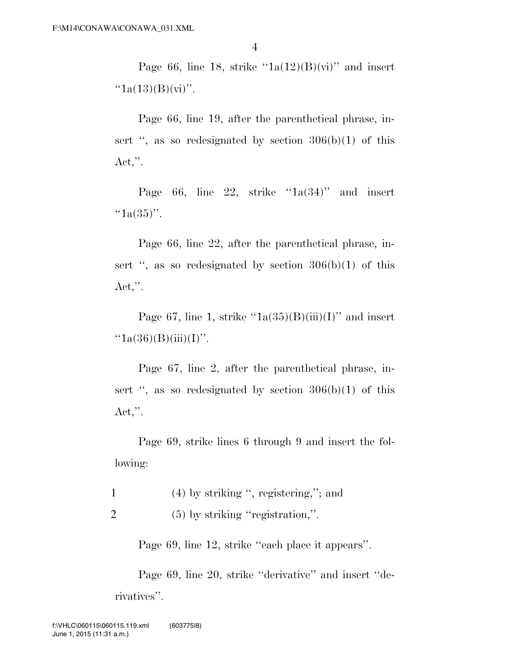Page 66, line 18, strike  $i_{1a}(12)(B)(vi)$  and insert  $"1a(13)(B)(vi)"$ .

Page 66, line 19, after the parenthetical phrase, insert ", as so redesignated by section  $306(b)(1)$  of this  $\text{Act},\text{''}.$ 

Page 66, line 22, strike " $1a(34)$ " and insert  $"1a(35)"$ .

Page 66, line 22, after the parenthetical phrase, insert ", as so redesignated by section  $306(b)(1)$  of this  $\text{Act},\text{''}.$ 

Page 67, line 1, strike  $"1a(35)(B)(iii)(I)"$  and insert  $"1a(36)(B)(iii)(I)"$ .

Page 67, line 2, after the parenthetical phrase, insert ", as so redesignated by section  $306(b)(1)$  of this  $\text{Act},\text{''}.$ 

Page 69, strike lines 6 through 9 and insert the following:

- 1 (4) by striking '', registering,''; and
- 2 (5) by striking ''registration,''.

Page 69, line 12, strike ''each place it appears''.

Page 69, line 20, strike ''derivative'' and insert ''derivatives''.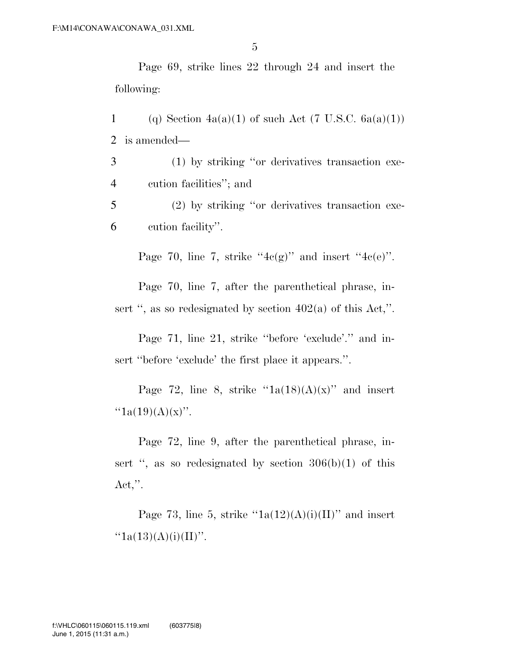Page 69, strike lines 22 through 24 and insert the following:

1 (q) Section  $4a(a)(1)$  of such Act (7 U.S.C.  $6a(a)(1)$ ) 2 is amended—

3 (1) by striking ''or derivatives transaction exe-4 cution facilities''; and

5 (2) by striking ''or derivatives transaction exe-6 cution facility''.

Page 70, line 7, strike " $4c(g)$ " and insert " $4c(e)$ ".

Page 70, line 7, after the parenthetical phrase, insert ", as so redesignated by section  $402(a)$  of this Act,".

Page 71, line 21, strike ''before 'exclude'.'' and insert ''before 'exclude' the first place it appears.''.

Page 72, line 8, strike  $i_{1a}(18)(A)(x)$ " and insert " $1a(19)(A)(x)$ ".

Page 72, line 9, after the parenthetical phrase, insert ", as so redesignated by section  $306(b)(1)$  of this  $\text{Act},\text{''}.$ 

Page 73, line 5, strike  $"1a(12)(A)(i)(II)"$  and insert  $"1a(13)(A)(i)(II)"$ .